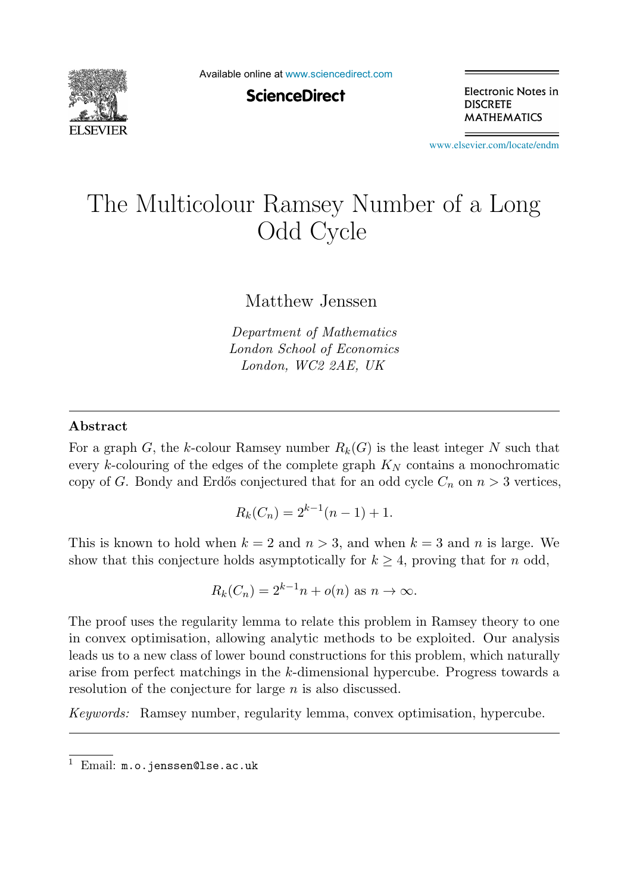

Available online at [www.sciencedirect.com](http://www.sciencedirect.com)

**ScienceDirect** 

Electronic Notes in **DISCRETE MATHEMATICS** 

[www.elsevier.com/locate/endm](http://www.elsevier.com/locate/endm)

# The Multicolour Ramsey Number of a Long Odd Cycle

Matthew Jenssen

*Department of Mathematics London School of Economics London, WC2 2AE, UK*

#### **Abstract**

For a graph G, the k-colour Ramsey number  $R_k(G)$  is the least integer N such that every k-colouring of the edges of the complete graph  $K_N$  contains a monochromatic copy of G. Bondy and Erdős conjectured that for an odd cycle  $C_n$  on  $n > 3$  vertices,

$$
R_k(C_n) = 2^{k-1}(n-1) + 1.
$$

This is known to hold when  $k = 2$  and  $n > 3$ , and when  $k = 3$  and n is large. We show that this conjecture holds asymptotically for  $k \geq 4$ , proving that for n odd,

$$
R_k(C_n) = 2^{k-1}n + o(n) \text{ as } n \to \infty.
$$

The proof uses the regularity lemma to relate this problem in Ramsey theory to one in convex optimisation, allowing analytic methods to be exploited. Our analysis leads us to a new class of lower bound constructions for this problem, which naturally arise from perfect matchings in the k-dimensional hypercube. Progress towards a resolution of the conjecture for large n is also discussed.

*Keywords:* Ramsey number, regularity lemma, convex optimisation, hypercube.

 $1$  Email:  $m.o.$  jenssen@lse.ac.uk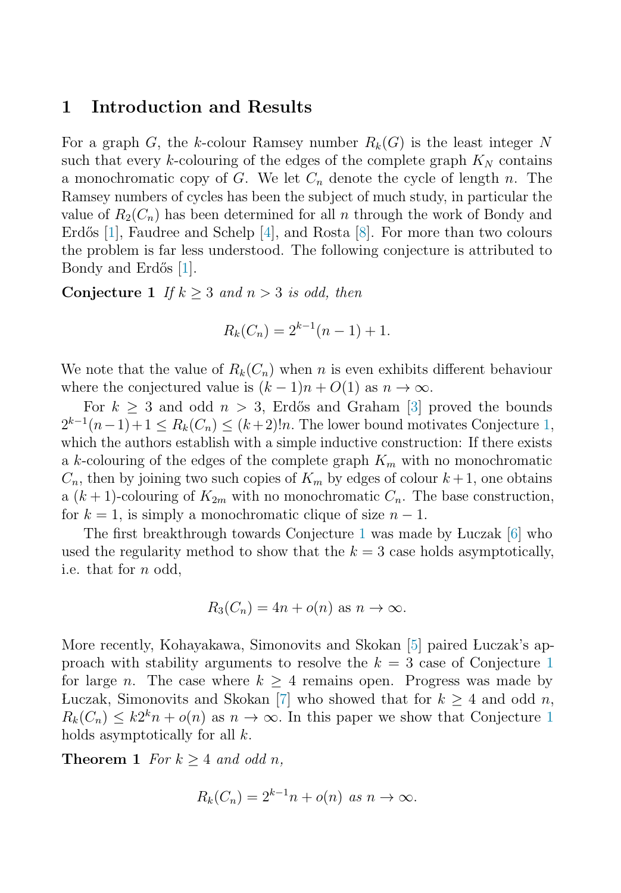### <span id="page-1-0"></span>**1 Introduction and Results**

For a graph G, the k-colour Ramsey number  $R_k(G)$  is the least integer N such that every k-colouring of the edges of the complete graph  $K_N$  contains a monochromatic copy of G. We let  $C_n$  denote the cycle of length n. The Ramsey numbers of cycles has been the subject of much study, in particular the value of  $R_2(C_n)$  has been determined for all n through the work of Bondy and Erdős  $|1|$ , Faudree and Schelp  $|4|$ , and Rosta  $|8|$ . For more than two colours the problem is far less understood. The following conjecture is attributed to Bondy and Erdős [\[1\]](#page-4-0).

**Conjecture 1** If  $k \geq 3$  and  $n > 3$  is odd, then

$$
R_k(C_n) = 2^{k-1}(n-1) + 1.
$$

We note that the value of  $R_k(C_n)$  when n is even exhibits different behaviour where the conjectured value is  $(k-1)n + O(1)$  as  $n \to \infty$ .

For  $k > 3$  and odd  $n > 3$ , Erdős and Graham [\[3\]](#page-4-0) proved the bounds  $2^{k-1}(n-1)+1 \le R_k(C_n) \le (k+2)!n$ . The lower bound motivates Conjecture 1, which the authors establish with a simple inductive construction: If there exists a k-colouring of the edges of the complete graph  $K_m$  with no monochromatic  $C_n$ , then by joining two such copies of  $K_m$  by edges of colour  $k+1$ , one obtains a  $(k+1)$ -colouring of  $K_{2m}$  with no monochromatic  $C_n$ . The base construction, for  $k = 1$ , is simply a monochromatic clique of size  $n - 1$ .

The first breakthrough towards Conjecture 1 was made by Luczak [\[6\]](#page-4-0) who used the regularity method to show that the  $k = 3$  case holds asymptotically, i.e. that for n odd,

$$
R_3(C_n) = 4n + o(n) \text{ as } n \to \infty.
$$

More recently, Kohayakawa, Simonovits and Skokan [\[5\]](#page-4-0) paired Luczak's approach with stability arguments to resolve the  $k = 3$  case of Conjecture 1 for large *n*. The case where  $k > 4$  remains open. Progress was made by Luczak, Simonovits and Skokan [\[7\]](#page-4-0) who showed that for  $k \geq 4$  and odd n,  $R_k(C_n) \leq k2^k n + o(n)$  as  $n \to \infty$ . In this paper we show that Conjecture 1 holds asymptotically for all  $k$ .

**Theorem 1** For  $k \geq 4$  and odd n,

$$
R_k(C_n) = 2^{k-1}n + o(n) \text{ as } n \to \infty.
$$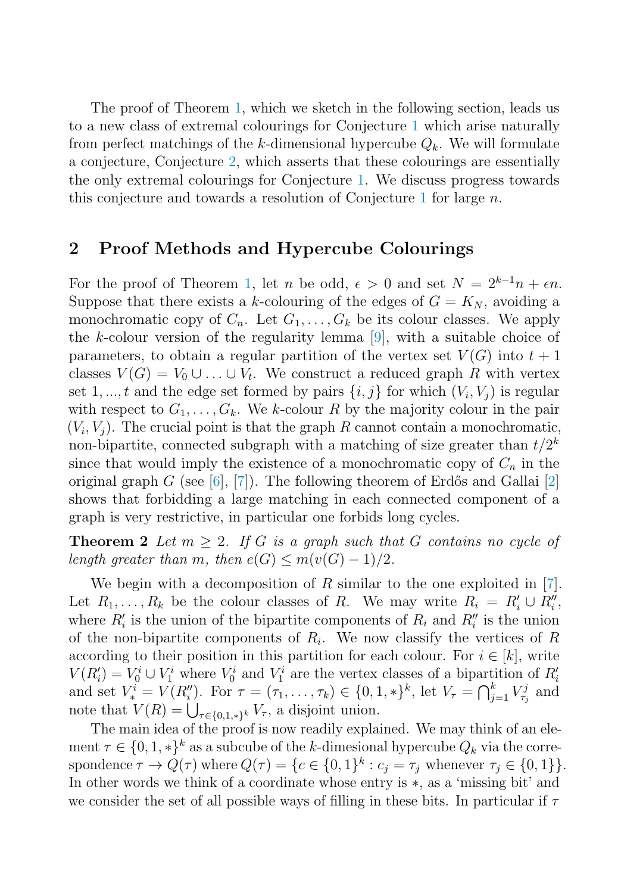<span id="page-2-0"></span>The proof of Theorem [1,](#page-1-0) which we sketch in the following section, leads us to a new class of extremal colourings for Conjecture [1](#page-1-0) which arise naturally from perfect matchings of the k-dimensional hypercube  $Q_k$ . We will formulate a conjecture, Conjecture [2,](#page-3-0) which asserts that these colourings are essentially the only extremal colourings for Conjecture [1.](#page-1-0) We discuss progress towards this conjecture and towards a resolution of Conjecture [1](#page-1-0) for large  $n$ .

# **2 Proof Methods and Hypercube Colourings**

For the proof of Theorem [1,](#page-1-0) let *n* be odd,  $\epsilon > 0$  and set  $N = 2^{k-1}n + \epsilon n$ . Suppose that there exists a k-colouring of the edges of  $G = K_N$ , avoiding a monochromatic copy of  $C_n$ . Let  $G_1, \ldots, G_k$  be its colour classes. We apply the k-colour version of the regularity lemma [\[9\]](#page-4-0), with a suitable choice of parameters, to obtain a regular partition of the vertex set  $V(G)$  into  $t+1$ classes  $V(G) = V_0 \cup ... \cup V_t$ . We construct a reduced graph R with vertex set 1, ..., t and the edge set formed by pairs  $\{i, j\}$  for which  $(V_i, V_j)$  is regular with respect to  $G_1, \ldots, G_k$ . We k-colour R by the majority colour in the pair  $(V_i, V_j)$ . The crucial point is that the graph R cannot contain a monochromatic, non-bipartite, connected subgraph with a matching of size greater than  $t/2^k$ since that would imply the existence of a monochromatic copy of  $C_n$  in the original graph  $G$  (see [\[6\]](#page-4-0), [\[7\]](#page-4-0)). The following theorem of Erdős and Gallai [\[2\]](#page-4-0) shows that forbidding a large matching in each connected component of a graph is very restrictive, in particular one forbids long cycles.

**Theorem 2** Let  $m \geq 2$ . If G is a graph such that G contains no cycle of length greater than m, then  $e(G) \le m(v(G)-1)/2$ .

We begin with a decomposition of  $R$  similar to the one exploited in [\[7\]](#page-4-0). Let  $R_1, \ldots, R_k$  be the colour classes of R. We may write  $R_i = R'_i \cup R''_i$ , where  $R'_i$  is the union of the bipartite components of  $R_i$  and  $R''_i$  is the union of the non-bipartite components of  $R_i$ . We now classify the vertices of R according to their position in this partition for each colour. For  $i \in [k]$ , write  $V(R'_i) = V_0^i \cup V_1^i$  where  $V_0^i$  and  $V_1^i$  are the vertex classes of a bipartition of  $R'_i$ and set  $V_i^i = V(R_i'')$ . For  $\tau = (\tau_1, \ldots, \tau_k) \in \{0, 1, *\}^k$ , let  $V_{\tau} = \bigcap_{j=1}^k V_{\tau_j}^j$  and note that  $V(R) = \bigcup_{\tau \in \{0,1,\ast\}^k} V_{\tau}$ , a disjoint union.

The main idea of the proof is now readily explained. We may think of an element  $\tau \in \{0, 1, *\}^k$  as a subcube of the k-dimesional hypercube  $Q_k$  via the correspondence  $\tau \to Q(\tau)$  where  $Q(\tau) = \{c \in \{0,1\}^k : c_j = \tau_j$  whenever  $\tau_j \in \{0,1\} \}.$ In other words we think of a coordinate whose entry is ∗, as a 'missing bit' and we consider the set of all possible ways of filling in these bits. In particular if  $\tau$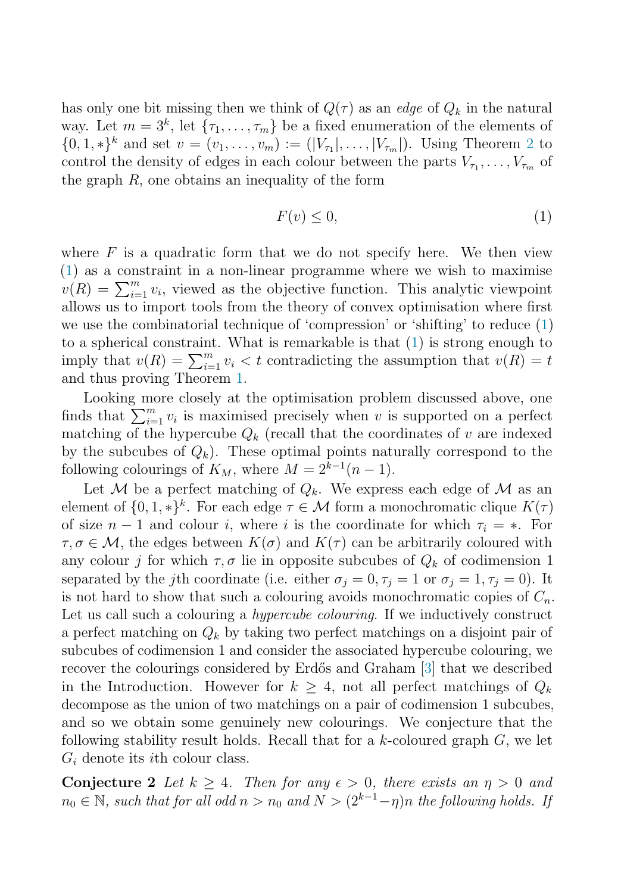<span id="page-3-0"></span>has only one bit missing then we think of  $Q(\tau)$  as an edge of  $Q_k$  in the natural way. Let  $m = 3^k$ , let  $\{\tau_1, \ldots, \tau_m\}$  be a fixed enumeration of the elements of  $\{0, 1, *\}^k$  and set  $v = (v_1, \ldots, v_m) := (|V_{\tau_1}|, \ldots, |V_{\tau_m}|)$ . Using Theorem [2](#page-2-0) to control the density of edges in each colour between the parts  $V_{\tau_1}, \ldots, V_{\tau_m}$  of the graph  $R$ , one obtains an inequality of the form

$$
F(v) \le 0,\tag{1}
$$

where  $F$  is a quadratic form that we do not specify here. We then view (1) as a constraint in a non-linear programme where we wish to maximise  $v(R) = \sum_{i=1}^{m} v_i$ , viewed as the objective function. This analytic viewpoint allows us to import tools from the theory of convex optimisation where first we use the combinatorial technique of 'compression' or 'shifting' to reduce (1) to a spherical constraint. What is remarkable is that (1) is strong enough to imply that  $v(R) = \sum_{i=1}^{m} v_i < t$  contradicting the assumption that  $v(R) = t$ and thus proving Theorem [1.](#page-1-0)

Looking more closely at the optimisation problem discussed above, one finds that  $\sum_{i=1}^{m} v_i$  is maximised precisely when v is supported on a perfect matching of the hypercube  $Q_k$  (recall that the coordinates of v are indexed by the subcubes of  $Q_k$ ). These optimal points naturally correspond to the following colourings of  $K_M$ , where  $M = 2^{k-1}(n-1)$ .

Let M be a perfect matching of  $Q_k$ . We express each edge of M as an element of  $\{0, 1, *\}^k$ . For each edge  $\tau \in \mathcal{M}$  form a monochromatic clique  $K(\tau)$ of size  $n-1$  and colour i, where i is the coordinate for which  $\tau_i = *$ . For  $\tau,\sigma \in \mathcal{M}$ , the edges between  $K(\sigma)$  and  $K(\tau)$  can be arbitrarily coloured with any colour j for which  $\tau, \sigma$  lie in opposite subcubes of  $Q_k$  of codimension 1 separated by the j<sup>th</sup> coordinate (i.e. either  $\sigma_j = 0, \tau_j = 1$  or  $\sigma_j = 1, \tau_j = 0$ ). It is not hard to show that such a colouring avoids monochromatic copies of  $C_n$ . Let us call such a colouring a *hypercube colouring*. If we inductively construct a perfect matching on  $Q_k$  by taking two perfect matchings on a disjoint pair of subcubes of codimension 1 and consider the associated hypercube colouring, we recover the colourings considered by Erdős and Graham [\[3\]](#page-4-0) that we described in the Introduction. However for  $k \geq 4$ , not all perfect matchings of  $Q_k$ decompose as the union of two matchings on a pair of codimension 1 subcubes, and so we obtain some genuinely new colourings. We conjecture that the following stability result holds. Recall that for a  $k$ -coloured graph  $G$ , we let  $G_i$  denote its *i*th colour class.

**Conjecture 2** Let  $k \geq 4$ . Then for any  $\epsilon > 0$ , there exists an  $\eta > 0$  and  $n_0 \in \mathbb{N}$ , such that for all odd  $n>n_0$  and  $N > (2^{k-1}-\eta)n$  the following holds. If